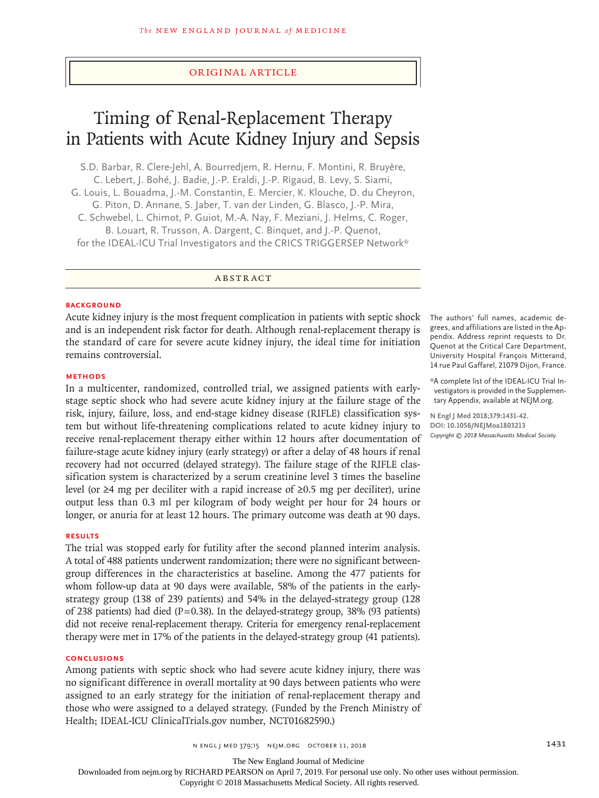# Original Article

# Timing of Renal-Replacement Therapy in Patients with Acute Kidney Injury and Sepsis

S.D. Barbar, R. Clere-Jehl, A. Bourredjem, R. Hernu, F. Montini, R. Bruyère, C. Lebert, J. Bohé, J. Badie, J.-P. Eraldi, J.-P. Rigaud, B. Levy, S. Siami, G. Louis, L. Bouadma, J.-M. Constantin, E. Mercier, K. Klouche, D. du Cheyron, G. Piton, D. Annane, S. Jaber, T. van der Linden, G. Blasco, J.-P. Mira, C. Schwebel, L. Chimot, P. Guiot, M.-A. Nay, F. Meziani, J. Helms, C. Roger, B. Louart, R. Trusson, A. Dargent, C. Binquet, and J.-P. Quenot, for the IDEAL-ICU Trial Investigators and the CRICS TRIGGERSEP Network\*

ABSTRACT

#### **BACKGROUND**

Acute kidney injury is the most frequent complication in patients with septic shock and is an independent risk factor for death. Although renal-replacement therapy is the standard of care for severe acute kidney injury, the ideal time for initiation remains controversial.

#### **METHODS**

In a multicenter, randomized, controlled trial, we assigned patients with earlystage septic shock who had severe acute kidney injury at the failure stage of the risk, injury, failure, loss, and end-stage kidney disease (RIFLE) classification system but without life-threatening complications related to acute kidney injury to receive renal-replacement therapy either within 12 hours after documentation of failure-stage acute kidney injury (early strategy) or after a delay of 48 hours if renal recovery had not occurred (delayed strategy). The failure stage of the RIFLE classification system is characterized by a serum creatinine level 3 times the baseline level (or ≥4 mg per deciliter with a rapid increase of ≥0.5 mg per deciliter), urine output less than 0.3 ml per kilogram of body weight per hour for 24 hours or longer, or anuria for at least 12 hours. The primary outcome was death at 90 days.

## **RESULTS**

The trial was stopped early for futility after the second planned interim analysis. A total of 488 patients underwent randomization; there were no significant betweengroup differences in the characteristics at baseline. Among the 477 patients for whom follow-up data at 90 days were available, 58% of the patients in the earlystrategy group (138 of 239 patients) and 54% in the delayed-strategy group (128 of 238 patients) had died ( $P=0.38$ ). In the delayed-strategy group, 38% (93 patients) did not receive renal-replacement therapy. Criteria for emergency renal-replacement therapy were met in 17% of the patients in the delayed-strategy group (41 patients).

#### **CONCLUSIONS**

Among patients with septic shock who had severe acute kidney injury, there was no significant difference in overall mortality at 90 days between patients who were assigned to an early strategy for the initiation of renal-replacement therapy and those who were assigned to a delayed strategy. (Funded by the French Ministry of Health; IDEAL-ICU ClinicalTrials.gov number, NCT01682590.)

The authors' full names, academic degrees, and affiliations are listed in the Appendix. Address reprint requests to Dr. Quenot at the Critical Care Department, University Hospital François Mitterand, 14 rue Paul Gaffarel, 21079 Dijon, France.

\*A complete list of the IDEAL-ICU Trial Investigators is provided in the Supplementary Appendix, available at NEJM.org.

**N Engl J Med 2018;379:1431-42. DOI: 10.1056/NEJMoa1803213** *Copyright © 2018 Massachusetts Medical Society.*

n engl j med 379;15 nejm.org October 11, 2018 1431

The New England Journal of Medicine

Downloaded from nejm.org by RICHARD PEARSON on April 7, 2019. For personal use only. No other uses without permission.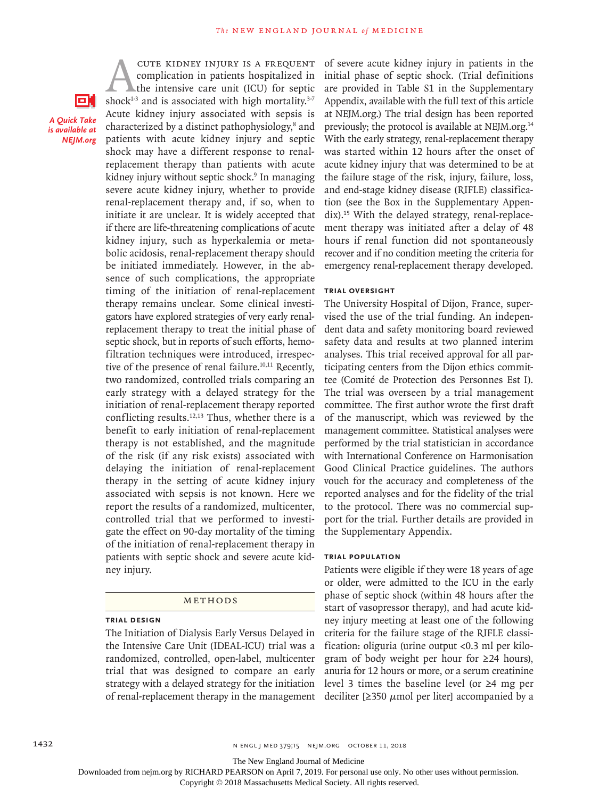*A Quick Take is available at NEJM.org*

O.

CUTE KIDNEY INJURY IS A FREQUENT<br>complication in patients hospitalized in<br>the intensive care unit (ICU) for septic<br>shock<sup>1-3</sup> and is associated with high mortality.<sup>3-7</sup> complication in patients hospitalized in the intensive care unit (ICU) for septic shock<sup>1-3</sup> and is associated with high mortality.<sup>3-7</sup> Acute kidney injury associated with sepsis is characterized by a distinct pathophysiology,<sup>8</sup> and patients with acute kidney injury and septic shock may have a different response to renalreplacement therapy than patients with acute kidney injury without septic shock.<sup>9</sup> In managing severe acute kidney injury, whether to provide renal-replacement therapy and, if so, when to initiate it are unclear. It is widely accepted that if there are life-threatening complications of acute kidney injury, such as hyperkalemia or metabolic acidosis, renal-replacement therapy should be initiated immediately. However, in the absence of such complications, the appropriate timing of the initiation of renal-replacement therapy remains unclear. Some clinical investigators have explored strategies of very early renalreplacement therapy to treat the initial phase of septic shock, but in reports of such efforts, hemofiltration techniques were introduced, irrespective of the presence of renal failure.<sup>10,11</sup> Recently, two randomized, controlled trials comparing an early strategy with a delayed strategy for the initiation of renal-replacement therapy reported conflicting results. $12,13$  Thus, whether there is a benefit to early initiation of renal-replacement therapy is not established, and the magnitude of the risk (if any risk exists) associated with delaying the initiation of renal-replacement therapy in the setting of acute kidney injury associated with sepsis is not known. Here we report the results of a randomized, multicenter, controlled trial that we performed to investigate the effect on 90-day mortality of the timing of the initiation of renal-replacement therapy in patients with septic shock and severe acute kidney injury.

#### Methods

# **Trial Design**

The Initiation of Dialysis Early Versus Delayed in the Intensive Care Unit (IDEAL-ICU) trial was a randomized, controlled, open-label, multicenter trial that was designed to compare an early strategy with a delayed strategy for the initiation of renal-replacement therapy in the management

of severe acute kidney injury in patients in the initial phase of septic shock. (Trial definitions are provided in Table S1 in the Supplementary Appendix, available with the full text of this article at NEJM.org.) The trial design has been reported previously; the protocol is available at NEJM.org.14 With the early strategy, renal-replacement therapy was started within 12 hours after the onset of acute kidney injury that was determined to be at the failure stage of the risk, injury, failure, loss, and end-stage kidney disease (RIFLE) classification (see the Box in the Supplementary Appendix).15 With the delayed strategy, renal-replacement therapy was initiated after a delay of 48 hours if renal function did not spontaneously recover and if no condition meeting the criteria for emergency renal-replacement therapy developed.

# **Trial Oversight**

The University Hospital of Dijon, France, supervised the use of the trial funding. An independent data and safety monitoring board reviewed safety data and results at two planned interim analyses. This trial received approval for all participating centers from the Dijon ethics committee (Comité de Protection des Personnes Est I). The trial was overseen by a trial management committee. The first author wrote the first draft of the manuscript, which was reviewed by the management committee. Statistical analyses were performed by the trial statistician in accordance with International Conference on Harmonisation Good Clinical Practice guidelines. The authors vouch for the accuracy and completeness of the reported analyses and for the fidelity of the trial to the protocol. There was no commercial support for the trial. Further details are provided in the Supplementary Appendix.

# **Trial Population**

Patients were eligible if they were 18 years of age or older, were admitted to the ICU in the early phase of septic shock (within 48 hours after the start of vasopressor therapy), and had acute kidney injury meeting at least one of the following criteria for the failure stage of the RIFLE classification: oliguria (urine output <0.3 ml per kilogram of body weight per hour for ≥24 hours), anuria for 12 hours or more, or a serum creatinine level 3 times the baseline level (or ≥4 mg per deciliter [ $\geq$ 350  $\mu$ mol per liter] accompanied by a

The New England Journal of Medicine

Downloaded from nejm.org by RICHARD PEARSON on April 7, 2019. For personal use only. No other uses without permission.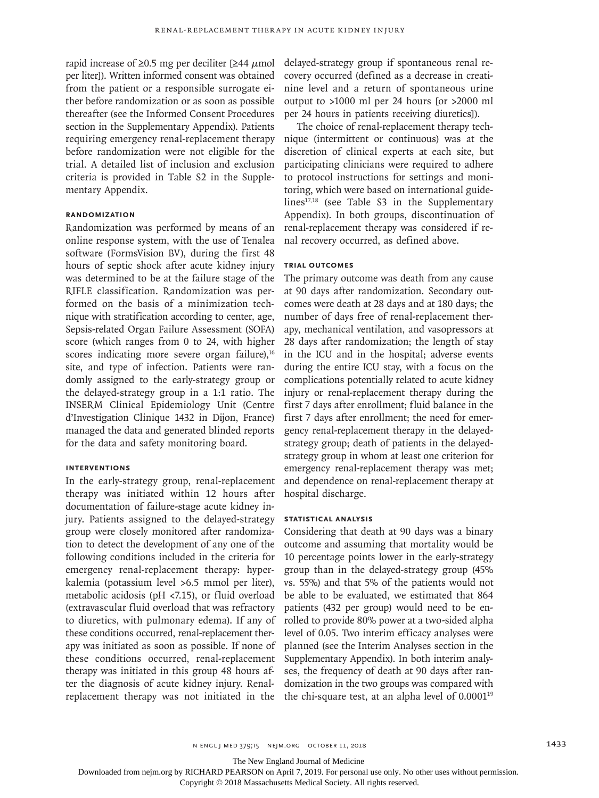rapid increase of  $\geq 0.5$  mg per deciliter [ $\geq 44 \mu$ mol per liter]). Written informed consent was obtained from the patient or a responsible surrogate either before randomization or as soon as possible thereafter (see the Informed Consent Procedures section in the Supplementary Appendix). Patients requiring emergency renal-replacement therapy before randomization were not eligible for the trial. A detailed list of inclusion and exclusion criteria is provided in Table S2 in the Supplementary Appendix.

#### **Randomization**

Randomization was performed by means of an online response system, with the use of Tenalea software (FormsVision BV), during the first 48 hours of septic shock after acute kidney injury was determined to be at the failure stage of the RIFLE classification. Randomization was performed on the basis of a minimization technique with stratification according to center, age, Sepsis-related Organ Failure Assessment (SOFA) score (which ranges from 0 to 24, with higher scores indicating more severe organ failure),<sup>16</sup> site, and type of infection. Patients were randomly assigned to the early-strategy group or the delayed-strategy group in a 1:1 ratio. The INSERM Clinical Epidemiology Unit (Centre d'Investigation Clinique 1432 in Dijon, France) managed the data and generated blinded reports for the data and safety monitoring board.

## **Interventions**

In the early-strategy group, renal-replacement therapy was initiated within 12 hours after documentation of failure-stage acute kidney injury. Patients assigned to the delayed-strategy group were closely monitored after randomization to detect the development of any one of the following conditions included in the criteria for emergency renal-replacement therapy: hyperkalemia (potassium level >6.5 mmol per liter), metabolic acidosis (pH <7.15), or fluid overload (extravascular fluid overload that was refractory to diuretics, with pulmonary edema). If any of these conditions occurred, renal-replacement therapy was initiated as soon as possible. If none of these conditions occurred, renal-replacement therapy was initiated in this group 48 hours after the diagnosis of acute kidney injury. Renalreplacement therapy was not initiated in the

delayed-strategy group if spontaneous renal recovery occurred (defined as a decrease in creatinine level and a return of spontaneous urine output to >1000 ml per 24 hours [or >2000 ml per 24 hours in patients receiving diuretics]).

The choice of renal-replacement therapy technique (intermittent or continuous) was at the discretion of clinical experts at each site, but participating clinicians were required to adhere to protocol instructions for settings and monitoring, which were based on international guidelines<sup>17,18</sup> (see Table S3 in the Supplementary Appendix). In both groups, discontinuation of renal-replacement therapy was considered if renal recovery occurred, as defined above.

## **Trial Outcomes**

The primary outcome was death from any cause at 90 days after randomization. Secondary outcomes were death at 28 days and at 180 days; the number of days free of renal-replacement therapy, mechanical ventilation, and vasopressors at 28 days after randomization; the length of stay in the ICU and in the hospital; adverse events during the entire ICU stay, with a focus on the complications potentially related to acute kidney injury or renal-replacement therapy during the first 7 days after enrollment; fluid balance in the first 7 days after enrollment; the need for emergency renal-replacement therapy in the delayedstrategy group; death of patients in the delayedstrategy group in whom at least one criterion for emergency renal-replacement therapy was met; and dependence on renal-replacement therapy at hospital discharge.

## **Statistical Analysis**

Considering that death at 90 days was a binary outcome and assuming that mortality would be 10 percentage points lower in the early-strategy group than in the delayed-strategy group (45% vs. 55%) and that 5% of the patients would not be able to be evaluated, we estimated that 864 patients (432 per group) would need to be enrolled to provide 80% power at a two-sided alpha level of 0.05. Two interim efficacy analyses were planned (see the Interim Analyses section in the Supplementary Appendix). In both interim analyses, the frequency of death at 90 days after randomization in the two groups was compared with the chi-square test, at an alpha level of  $0.0001^{19}$ 

The New England Journal of Medicine

Downloaded from nejm.org by RICHARD PEARSON on April 7, 2019. For personal use only. No other uses without permission.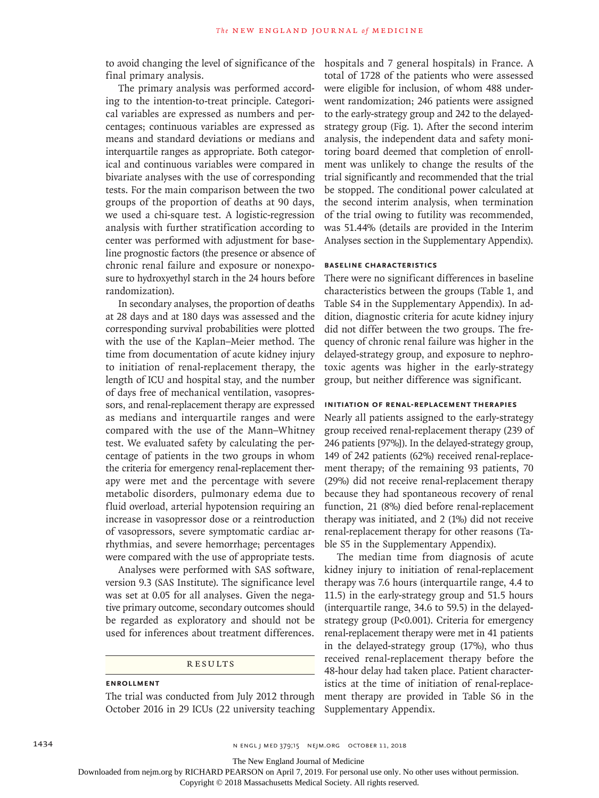to avoid changing the level of significance of the final primary analysis.

The primary analysis was performed according to the intention-to-treat principle. Categorical variables are expressed as numbers and percentages; continuous variables are expressed as means and standard deviations or medians and interquartile ranges as appropriate. Both categorical and continuous variables were compared in bivariate analyses with the use of corresponding tests. For the main comparison between the two groups of the proportion of deaths at 90 days, we used a chi-square test. A logistic-regression analysis with further stratification according to center was performed with adjustment for baseline prognostic factors (the presence or absence of chronic renal failure and exposure or nonexposure to hydroxyethyl starch in the 24 hours before randomization).

In secondary analyses, the proportion of deaths at 28 days and at 180 days was assessed and the corresponding survival probabilities were plotted with the use of the Kaplan–Meier method. The time from documentation of acute kidney injury to initiation of renal-replacement therapy, the length of ICU and hospital stay, and the number of days free of mechanical ventilation, vasopressors, and renal-replacement therapy are expressed as medians and interquartile ranges and were compared with the use of the Mann–Whitney test. We evaluated safety by calculating the percentage of patients in the two groups in whom the criteria for emergency renal-replacement therapy were met and the percentage with severe metabolic disorders, pulmonary edema due to fluid overload, arterial hypotension requiring an increase in vasopressor dose or a reintroduction of vasopressors, severe symptomatic cardiac arrhythmias, and severe hemorrhage; percentages were compared with the use of appropriate tests.

Analyses were performed with SAS software, version 9.3 (SAS Institute). The significance level was set at 0.05 for all analyses. Given the negative primary outcome, secondary outcomes should be regarded as exploratory and should not be used for inferences about treatment differences.

## **RESULTS**

# **Enrollment**

The trial was conducted from July 2012 through October 2016 in 29 ICUs (22 university teaching hospitals and 7 general hospitals) in France. A total of 1728 of the patients who were assessed were eligible for inclusion, of whom 488 underwent randomization; 246 patients were assigned to the early-strategy group and 242 to the delayedstrategy group (Fig. 1). After the second interim analysis, the independent data and safety monitoring board deemed that completion of enrollment was unlikely to change the results of the trial significantly and recommended that the trial be stopped. The conditional power calculated at the second interim analysis, when termination of the trial owing to futility was recommended, was 51.44% (details are provided in the Interim Analyses section in the Supplementary Appendix).

## **Baseline Characteristics**

There were no significant differences in baseline characteristics between the groups (Table 1, and Table S4 in the Supplementary Appendix). In addition, diagnostic criteria for acute kidney injury did not differ between the two groups. The frequency of chronic renal failure was higher in the delayed-strategy group, and exposure to nephrotoxic agents was higher in the early-strategy group, but neither difference was significant.

# **Initiation of Renal-Replacement Therapies**

Nearly all patients assigned to the early-strategy group received renal-replacement therapy (239 of 246 patients [97%]). In the delayed-strategy group, 149 of 242 patients (62%) received renal-replacement therapy; of the remaining 93 patients, 70 (29%) did not receive renal-replacement therapy because they had spontaneous recovery of renal function, 21 (8%) died before renal-replacement therapy was initiated, and 2 (1%) did not receive renal-replacement therapy for other reasons (Table S5 in the Supplementary Appendix).

The median time from diagnosis of acute kidney injury to initiation of renal-replacement therapy was 7.6 hours (interquartile range, 4.4 to 11.5) in the early-strategy group and 51.5 hours (interquartile range, 34.6 to 59.5) in the delayedstrategy group (P<0.001). Criteria for emergency renal-replacement therapy were met in 41 patients in the delayed-strategy group (17%), who thus received renal-replacement therapy before the 48-hour delay had taken place. Patient characteristics at the time of initiation of renal-replacement therapy are provided in Table S6 in the Supplementary Appendix.

The New England Journal of Medicine

Downloaded from nejm.org by RICHARD PEARSON on April 7, 2019. For personal use only. No other uses without permission.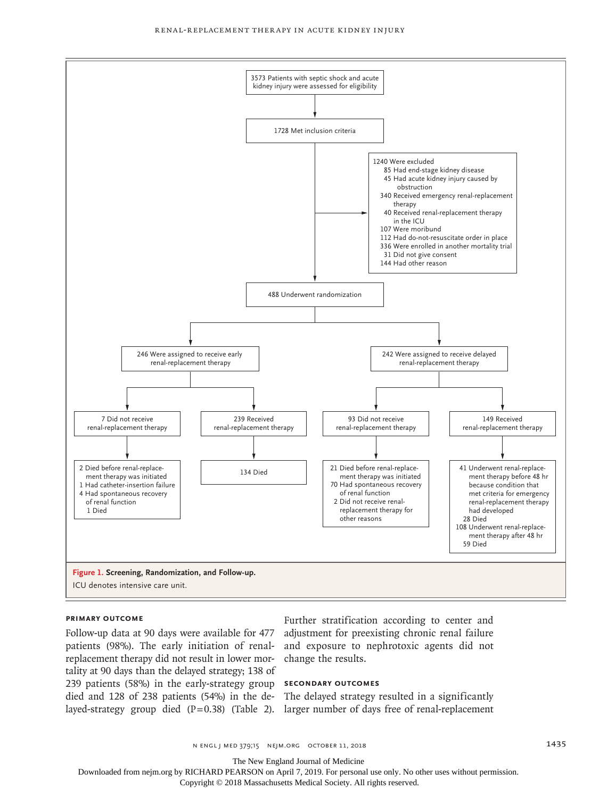

#### **Primary Outcome**

Follow-up data at 90 days were available for 477 patients (98%). The early initiation of renalreplacement therapy did not result in lower mortality at 90 days than the delayed strategy; 138 of 239 patients (58%) in the early-strategy group died and 128 of 238 patients (54%) in the de-The delayed strategy resulted in a significantly layed-strategy group died (P=0.38) (Table 2). larger number of days free of renal-replacement

Further stratification according to center and adjustment for preexisting chronic renal failure and exposure to nephrotoxic agents did not change the results.

#### **Secondary Outcomes**

The New England Journal of Medicine

Downloaded from nejm.org by RICHARD PEARSON on April 7, 2019. For personal use only. No other uses without permission.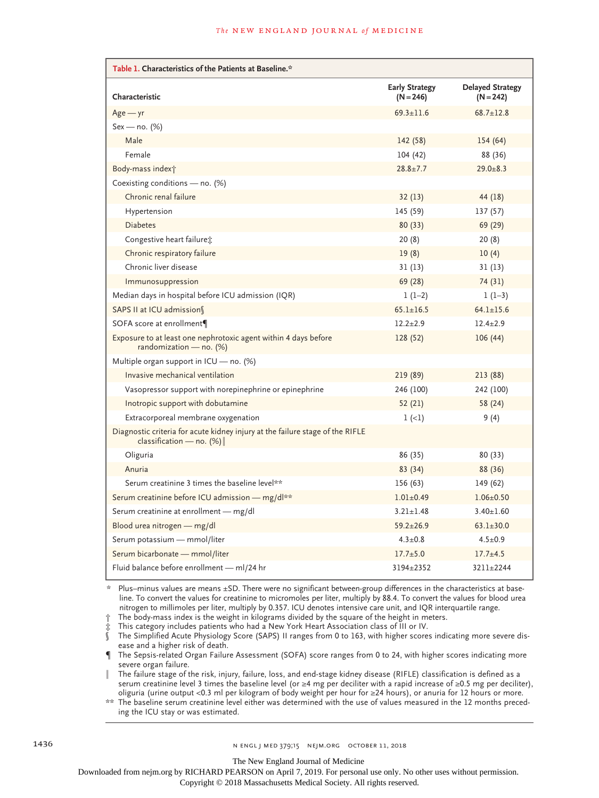| Table 1. Characteristics of the Patients at Baseline.*                                                       |                                      |                                        |
|--------------------------------------------------------------------------------------------------------------|--------------------------------------|----------------------------------------|
| Characteristic                                                                                               | <b>Early Strategy</b><br>$(N = 246)$ | <b>Delayed Strategy</b><br>$(N = 242)$ |
| $Age - yr$                                                                                                   | $69.3 \pm 11.6$                      | $68.7 \pm 12.8$                        |
| $Sex - no. (%)$                                                                                              |                                      |                                        |
| Male                                                                                                         | 142(58)                              | 154 (64)                               |
| Female                                                                                                       | 104 (42)                             | 88 (36)                                |
| Body-mass index†                                                                                             | $28.8 \pm 7.7$                       | $29.0 \pm 8.3$                         |
| Coexisting conditions - no. (%)                                                                              |                                      |                                        |
| Chronic renal failure                                                                                        | 32(13)                               | 44 (18)                                |
| Hypertension                                                                                                 | 145 (59)                             | 137 (57)                               |
| <b>Diabetes</b>                                                                                              | 80(33)                               | 69 (29)                                |
| Congestive heart failure;                                                                                    | 20(8)                                | 20(8)                                  |
| Chronic respiratory failure                                                                                  | 19(8)                                | 10(4)                                  |
| Chronic liver disease                                                                                        | 31(13)                               | 31(13)                                 |
| Immunosuppression                                                                                            | 69 (28)                              | 74 (31)                                |
| Median days in hospital before ICU admission (IQR)                                                           | $1(1-2)$                             | $1(1-3)$                               |
| SAPS II at ICU admission                                                                                     | $65.1 \pm 16.5$                      | $64.1 \pm 15.6$                        |
| SOFA score at enrollment¶                                                                                    | $12.2 + 2.9$                         | $12.4 + 2.9$                           |
| Exposure to at least one nephrotoxic agent within 4 days before<br>randomization - no. $(\%)$                | 128 (52)                             | 106(44)                                |
| Multiple organ support in ICU — no. $(\%)$                                                                   |                                      |                                        |
| Invasive mechanical ventilation                                                                              | 219 (89)                             | 213 (88)                               |
| Vasopressor support with norepinephrine or epinephrine                                                       | 246 (100)                            | 242 (100)                              |
| Inotropic support with dobutamine                                                                            | 52 (21)                              | 58 (24)                                |
| Extracorporeal membrane oxygenation                                                                          | $1 (-1)$                             | 9 (4)                                  |
| Diagnostic criteria for acute kidney injury at the failure stage of the RIFLE<br>classification — no. $(\%)$ |                                      |                                        |
| Oliguria                                                                                                     | 86 (35)                              | 80 (33)                                |
| Anuria                                                                                                       | 83 (34)                              | 88 (36)                                |
| Serum creatinine 3 times the baseline level**                                                                | 156 (63)                             | 149 (62)                               |
| Serum creatinine before ICU admission - mg/dl**                                                              | $1.01 \pm 0.49$                      | $1.06 \pm 0.50$                        |
| Serum creatinine at enrollment — mg/dl                                                                       | $3.21 \pm 1.48$                      | $3.40 \pm 1.60$                        |
| Blood urea nitrogen - mg/dl                                                                                  | $59.2 \pm 26.9$                      | $63.1 \pm 30.0$                        |
| Serum potassium - mmol/liter                                                                                 | $4.3 \pm 0.8$                        | $4.5 \pm 0.9$                          |
| Serum bicarbonate - mmol/liter                                                                               | $17.7 + 5.0$                         | $17.7 + 4.5$                           |
| Fluid balance before enrollment - ml/24 hr                                                                   | 3194±2352                            | 3211±2244                              |

\* Plus–minus values are means ±SD. There were no significant between-group differences in the characteristics at baseline. To convert the values for creatinine to micromoles per liter, multiply by 88.4. To convert the values for blood urea nitrogen to millimoles per liter, multiply by 0.357. ICU denotes intensive care unit, and IQR interquartile range.

† The body-mass index is the weight in kilograms divided by the square of the height in meters. This category includes patients who had a New York Heart Association class of III or IV.

§ The Simplified Acute Physiology Score (SAPS) II ranges from 0 to 163, with higher scores indicating more severe disease and a higher risk of death.

¶ The Sepsis-related Organ Failure Assessment (SOFA) score ranges from 0 to 24, with higher scores indicating more severe organ failure.

The failure stage of the risk, injury, failure, loss, and end-stage kidney disease (RIFLE) classification is defined as a serum creatinine level 3 times the baseline level (or ≥4 mg per deciliter with a rapid increase of ≥0.5 mg per deciliter), oliguria (urine output <0.3 ml per kilogram of body weight per hour for ≥24 hours), or anuria for 12 hours or more.

\*\* The baseline serum creatinine level either was determined with the use of values measured in the 12 months preceding the ICU stay or was estimated.

The New England Journal of Medicine

Downloaded from nejm.org by RICHARD PEARSON on April 7, 2019. For personal use only. No other uses without permission.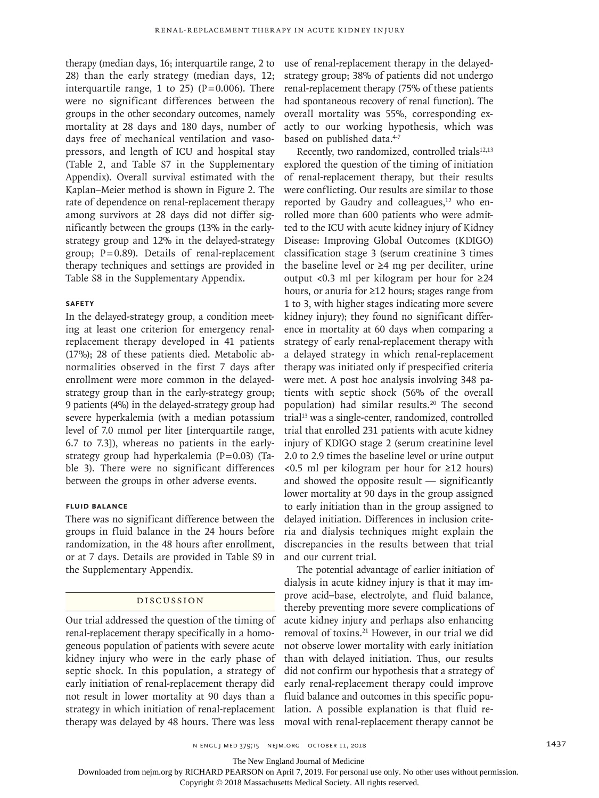therapy (median days, 16; interquartile range, 2 to 28) than the early strategy (median days, 12; interquartile range, 1 to 25) ( $P=0.006$ ). There were no significant differences between the groups in the other secondary outcomes, namely mortality at 28 days and 180 days, number of days free of mechanical ventilation and vasopressors, and length of ICU and hospital stay (Table 2, and Table S7 in the Supplementary Appendix). Overall survival estimated with the Kaplan–Meier method is shown in Figure 2. The rate of dependence on renal-replacement therapy among survivors at 28 days did not differ significantly between the groups (13% in the earlystrategy group and 12% in the delayed-strategy group; P=0.89). Details of renal-replacement therapy techniques and settings are provided in Table S8 in the Supplementary Appendix.

## **Safety**

In the delayed-strategy group, a condition meeting at least one criterion for emergency renalreplacement therapy developed in 41 patients (17%); 28 of these patients died. Metabolic abnormalities observed in the first 7 days after enrollment were more common in the delayedstrategy group than in the early-strategy group; 9 patients (4%) in the delayed-strategy group had severe hyperkalemia (with a median potassium level of 7.0 mmol per liter [interquartile range, 6.7 to 7.3]), whereas no patients in the earlystrategy group had hyperkalemia (P=0.03) (Table 3). There were no significant differences between the groups in other adverse events.

# **Fluid Balance**

There was no significant difference between the groups in fluid balance in the 24 hours before randomization, in the 48 hours after enrollment, or at 7 days. Details are provided in Table S9 in the Supplementary Appendix.

## Discussion

Our trial addressed the question of the timing of renal-replacement therapy specifically in a homogeneous population of patients with severe acute kidney injury who were in the early phase of septic shock. In this population, a strategy of early initiation of renal-replacement therapy did not result in lower mortality at 90 days than a strategy in which initiation of renal-replacement therapy was delayed by 48 hours. There was less

use of renal-replacement therapy in the delayedstrategy group; 38% of patients did not undergo renal-replacement therapy (75% of these patients had spontaneous recovery of renal function). The overall mortality was 55%, corresponding exactly to our working hypothesis, which was based on published data.<sup>4-7</sup>

Recently, two randomized, controlled trials<sup>12,13</sup> explored the question of the timing of initiation of renal-replacement therapy, but their results were conflicting. Our results are similar to those reported by Gaudry and colleagues,<sup>12</sup> who enrolled more than 600 patients who were admitted to the ICU with acute kidney injury of Kidney Disease: Improving Global Outcomes (KDIGO) classification stage 3 (serum creatinine 3 times the baseline level or  $\geq 4$  mg per deciliter, urine output <0.3 ml per kilogram per hour for ≥24 hours, or anuria for ≥12 hours; stages range from 1 to 3, with higher stages indicating more severe kidney injury); they found no significant difference in mortality at 60 days when comparing a strategy of early renal-replacement therapy with a delayed strategy in which renal-replacement therapy was initiated only if prespecified criteria were met. A post hoc analysis involving 348 patients with septic shock (56% of the overall population) had similar results.<sup>20</sup> The second trial<sup>13</sup> was a single-center, randomized, controlled trial that enrolled 231 patients with acute kidney injury of KDIGO stage 2 (serum creatinine level 2.0 to 2.9 times the baseline level or urine output <0.5 ml per kilogram per hour for ≥12 hours) and showed the opposite result — significantly lower mortality at 90 days in the group assigned to early initiation than in the group assigned to delayed initiation. Differences in inclusion criteria and dialysis techniques might explain the discrepancies in the results between that trial and our current trial.

The potential advantage of earlier initiation of dialysis in acute kidney injury is that it may improve acid–base, electrolyte, and fluid balance, thereby preventing more severe complications of acute kidney injury and perhaps also enhancing removal of toxins.21 However, in our trial we did not observe lower mortality with early initiation than with delayed initiation. Thus, our results did not confirm our hypothesis that a strategy of early renal-replacement therapy could improve fluid balance and outcomes in this specific population. A possible explanation is that fluid removal with renal-replacement therapy cannot be

n engl j med 379;15 nejm.org October 11, 2018 1437

The New England Journal of Medicine

Downloaded from nejm.org by RICHARD PEARSON on April 7, 2019. For personal use only. No other uses without permission.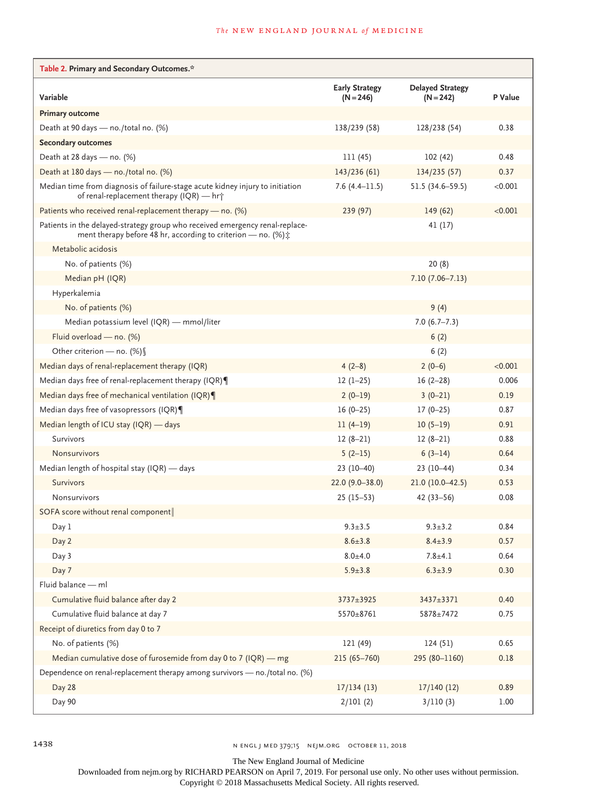| Table 2. Primary and Secondary Outcomes.*                                                                                                        |                                      |                                        |         |
|--------------------------------------------------------------------------------------------------------------------------------------------------|--------------------------------------|----------------------------------------|---------|
| Variable                                                                                                                                         | <b>Early Strategy</b><br>$(N = 246)$ | <b>Delayed Strategy</b><br>$(N = 242)$ | P Value |
| <b>Primary outcome</b>                                                                                                                           |                                      |                                        |         |
| Death at 90 days - no./total no. (%)                                                                                                             | 138/239 (58)                         | 128/238 (54)                           | 0.38    |
| <b>Secondary outcomes</b>                                                                                                                        |                                      |                                        |         |
| Death at 28 days $-$ no. (%)                                                                                                                     | 111 (45)                             | 102 (42)                               | 0.48    |
| Death at 180 days - no./total no. (%)                                                                                                            | 143/236 (61)                         | 134/235 (57)                           | 0.37    |
| Median time from diagnosis of failure-stage acute kidney injury to initiation<br>of renal-replacement therapy (IQR) — hr†                        | 7.6(4.4–11.5)                        | $51.5(34.6 - 59.5)$                    | < 0.001 |
| Patients who received renal-replacement therapy - no. (%)                                                                                        | 239 (97)                             | 149 (62)                               | < 0.001 |
| Patients in the delayed-strategy group who received emergency renal-replace-<br>ment therapy before 48 hr, according to criterion — no. $(\%)$ : |                                      | 41 (17)                                |         |
| Metabolic acidosis                                                                                                                               |                                      |                                        |         |
| No. of patients (%)                                                                                                                              |                                      | 20(8)                                  |         |
| Median pH (IQR)                                                                                                                                  |                                      | $7.10(7.06 - 7.13)$                    |         |
| Hyperkalemia                                                                                                                                     |                                      |                                        |         |
| No. of patients (%)                                                                                                                              |                                      | 9(4)                                   |         |
| Median potassium level (IQR) — mmol/liter                                                                                                        |                                      | $7.0(6.7 - 7.3)$                       |         |
| Fluid overload - no. (%)                                                                                                                         |                                      | 6(2)                                   |         |
| Other criterion - no. (%)                                                                                                                        |                                      | 6(2)                                   |         |
| Median days of renal-replacement therapy (IQR)                                                                                                   | $4(2-8)$                             | $2(0-6)$                               | < 0.001 |
| Median days free of renal-replacement therapy (IQR)                                                                                              | $12(1-25)$                           | $16(2-28)$                             | 0.006   |
| Median days free of mechanical ventilation (IQR)                                                                                                 | $2(0-19)$                            | $3(0-21)$                              | 0.19    |
| Median days free of vasopressors (IQR)                                                                                                           | $16(0-25)$                           | $17(0-25)$                             | 0.87    |
| Median length of ICU stay (IQR) — days                                                                                                           | $11(4-19)$                           | $10(5-19)$                             | 0.91    |
| Survivors                                                                                                                                        | $12(8-21)$                           | $12(8-21)$                             | 0.88    |
| <b>Nonsurvivors</b>                                                                                                                              | $5(2-15)$                            | $6(3-14)$                              | 0.64    |
| Median length of hospital stay (IQR) - days                                                                                                      | $23(10-40)$                          | $23(10-44)$                            | 0.34    |
| <b>Survivors</b>                                                                                                                                 | $22.0(9.0 - 38.0)$                   | $21.0(10.0-42.5)$                      | 0.53    |
| Nonsurvivors                                                                                                                                     | $25(15-53)$                          | $42(33 - 56)$                          | 0.08    |
| SOFA score without renal component                                                                                                               |                                      |                                        |         |
| Day 1                                                                                                                                            | $9.3 \pm 3.5$                        | $9.3 \pm 3.2$                          | 0.84    |
| Day 2                                                                                                                                            | $8.6 \pm 3.8$                        | $8.4 \pm 3.9$                          | 0.57    |
| Day 3                                                                                                                                            | $8.0 + 4.0$                          | $7.8 + 4.1$                            | 0.64    |
| Day 7                                                                                                                                            | $5.9 \pm 3.8$                        | $6.3 \pm 3.9$                          | 0.30    |
| Fluid balance - ml                                                                                                                               |                                      |                                        |         |
| Cumulative fluid balance after day 2                                                                                                             | 3737±3925                            | 3437±3371                              | 0.40    |
| Cumulative fluid balance at day 7                                                                                                                | 5570±8761                            | 5878±7472                              | 0.75    |
| Receipt of diuretics from day 0 to 7                                                                                                             |                                      |                                        |         |
| No. of patients (%)                                                                                                                              | 121 (49)                             | 124(51)                                | 0.65    |
| Median cumulative dose of furosemide from day 0 to 7 (IQR) $-$ mg                                                                                | 215 (65-760)                         | 295 (80-1160)                          | 0.18    |
| Dependence on renal-replacement therapy among survivors - no./total no. (%)                                                                      |                                      |                                        |         |
| Day 28                                                                                                                                           | 17/134(13)                           | 17/140(12)                             | 0.89    |
| Day 90                                                                                                                                           | 2/101(2)                             | 3/110(3)                               | 1.00    |

1438 n engl j med 379;15 nejm.org October 11, 2018

The New England Journal of Medicine

Downloaded from nejm.org by RICHARD PEARSON on April 7, 2019. For personal use only. No other uses without permission.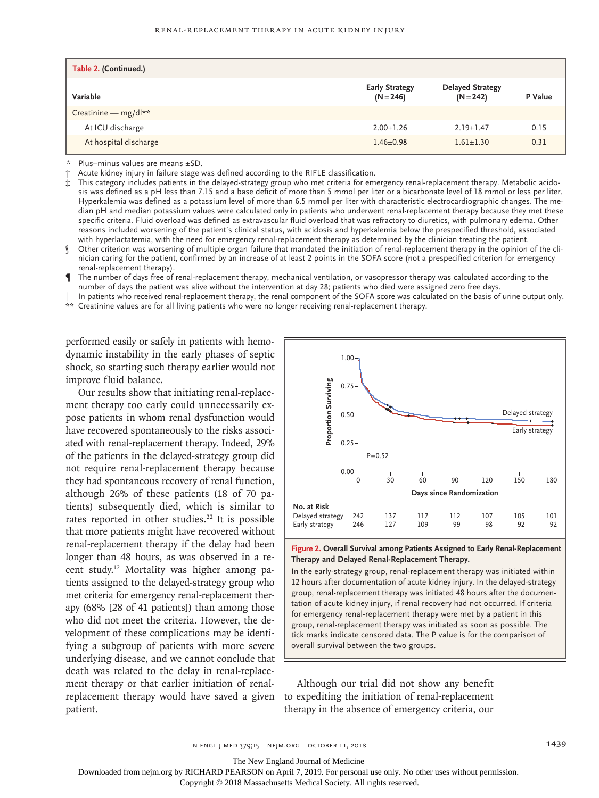| Table 2. (Continued.) |                                      |                                        |         |
|-----------------------|--------------------------------------|----------------------------------------|---------|
| Variable              | <b>Early Strategy</b><br>$(N = 246)$ | <b>Delayed Strategy</b><br>$(N = 242)$ | P Value |
| Creatinine - mg/dl**  |                                      |                                        |         |
| At ICU discharge      | $2.00 + 1.26$                        | $2.19 + 1.47$                          | 0.15    |
| At hospital discharge | $1.46 \pm 0.98$                      | $1.61 + 1.30$                          | 0.31    |

Plus–minus values are means ±SD.

Acute kidney injury in failure stage was defined according to the RIFLE classification.

- This category includes patients in the delayed-strategy group who met criteria for emergency renal-replacement therapy. Metabolic acidosis was defined as a pH less than 7.15 and a base deficit of more than 5 mmol per liter or a bicarbonate level of 18 mmol or less per liter. Hyperkalemia was defined as a potassium level of more than 6.5 mmol per liter with characteristic electrocardiographic changes. The median pH and median potassium values were calculated only in patients who underwent renal-replacement therapy because they met these specific criteria. Fluid overload was defined as extravascular fluid overload that was refractory to diuretics, with pulmonary edema. Other reasons included worsening of the patient's clinical status, with acidosis and hyperkalemia below the prespecified threshold, associated with hyperlactatemia, with the need for emergency renal-replacement therapy as determined by the clinician treating the patient.
- § Other criterion was worsening of multiple organ failure that mandated the initiation of renal-replacement therapy in the opinion of the clinician caring for the patient, confirmed by an increase of at least 2 points in the SOFA score (not a prespecified criterion for emergency renal-replacement therapy).
- The number of days free of renal-replacement therapy, mechanical ventilation, or vasopressor therapy was calculated according to the number of days the patient was alive without the intervention at day 28; patients who died were assigned zero free days.
- In patients who received renal-replacement therapy, the renal component of the SOFA score was calculated on the basis of urine output only.
- \*\* Creatinine values are for all living patients who were no longer receiving renal-replacement therapy.

performed easily or safely in patients with hemodynamic instability in the early phases of septic shock, so starting such therapy earlier would not improve fluid balance.

Our results show that initiating renal-replacement therapy too early could unnecessarily expose patients in whom renal dysfunction would have recovered spontaneously to the risks associated with renal-replacement therapy. Indeed, 29% of the patients in the delayed-strategy group did not require renal-replacement therapy because they had spontaneous recovery of renal function, although 26% of these patients (18 of 70 patients) subsequently died, which is similar to rates reported in other studies.<sup>22</sup> It is possible that more patients might have recovered without renal-replacement therapy if the delay had been longer than 48 hours, as was observed in a recent study.12 Mortality was higher among patients assigned to the delayed-strategy group who met criteria for emergency renal-replacement therapy (68% [28 of 41 patients]) than among those who did not meet the criteria. However, the development of these complications may be identifying a subgroup of patients with more severe underlying disease, and we cannot conclude that death was related to the delay in renal-replacement therapy or that earlier initiation of renalreplacement therapy would have saved a given patient.





In the early-strategy group, renal-replacement therapy was initiated within 12 hours after documentation of acute kidney injury. In the delayed-strategy group, renal-replacement therapy was initiated 48 hours after the documentation of acute kidney injury, if renal recovery had not occurred. If criteria for emergency renal-replacement therapy were met by a patient in this group, renal-replacement therapy was initiated as soon as possible. The tick marks indicate censored data. The P value is for the comparison of

Although our trial did not show any benefit to expediting the initiation of renal-replacement therapy in the absence of emergency criteria, our

n engl j med 379;15 nejm.org October 11, 2018 1439

The New England Journal of Medicine

Downloaded from nejm.org by RICHARD PEARSON on April 7, 2019. For personal use only. No other uses without permission.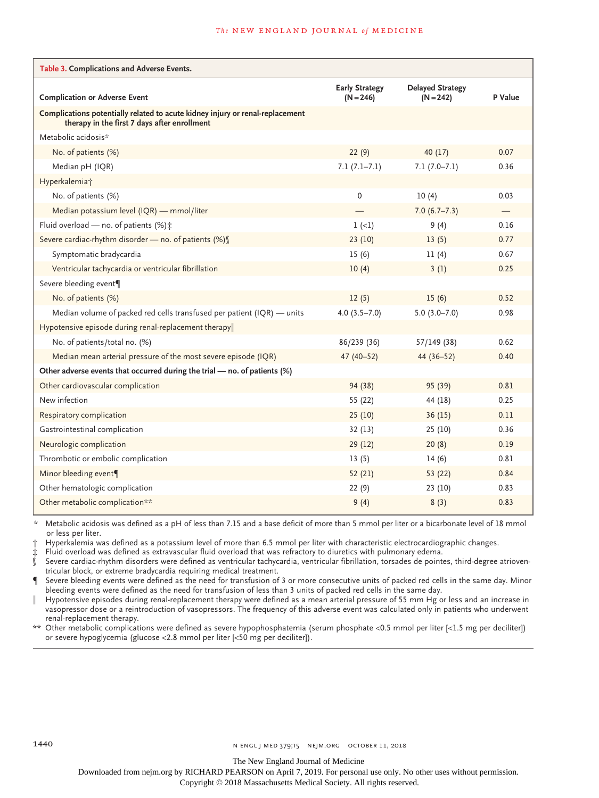#### **The NEW ENGLAND JOURNAL of MEDICINE**

| Table 3. Complications and Adverse Events.                                                                                    |                                      |                                        |         |
|-------------------------------------------------------------------------------------------------------------------------------|--------------------------------------|----------------------------------------|---------|
| <b>Complication or Adverse Event</b>                                                                                          | <b>Early Strategy</b><br>$(N = 246)$ | <b>Delayed Strategy</b><br>$(N = 242)$ | P Value |
| Complications potentially related to acute kidney injury or renal-replacement<br>therapy in the first 7 days after enrollment |                                      |                                        |         |
| Metabolic acidosis*                                                                                                           |                                      |                                        |         |
| No. of patients (%)                                                                                                           | 22(9)                                | 40(17)                                 | 0.07    |
| Median pH (IQR)                                                                                                               | $7.1(7.1-7.1)$                       | $7.1(7.0 - 7.1)$                       | 0.36    |
| Hyperkalemia <sup>+</sup>                                                                                                     |                                      |                                        |         |
| No. of patients (%)                                                                                                           | 0                                    | 10(4)                                  | 0.03    |
| Median potassium level (IQR) - mmol/liter                                                                                     |                                      | $7.0(6.7-7.3)$                         |         |
| Fluid overload - no. of patients $(\%)$ :                                                                                     | $1 (-1)$                             | 9(4)                                   | 0.16    |
| Severe cardiac-rhythm disorder - no. of patients (%) [                                                                        | 23(10)                               | 13(5)                                  | 0.77    |
| Symptomatic bradycardia                                                                                                       | 15(6)                                | 11(4)                                  | 0.67    |
| Ventricular tachycardia or ventricular fibrillation                                                                           | 10(4)                                | 3(1)                                   | 0.25    |
| Severe bleeding event¶                                                                                                        |                                      |                                        |         |
| No. of patients (%)                                                                                                           | 12(5)                                | 15(6)                                  | 0.52    |
| Median volume of packed red cells transfused per patient (IQR) - units                                                        | $4.0(3.5 - 7.0)$                     | $5.0(3.0 - 7.0)$                       | 0.98    |
| Hypotensive episode during renal-replacement therapy                                                                          |                                      |                                        |         |
| No. of patients/total no. (%)                                                                                                 | 86/239 (36)                          | 57/149 (38)                            | 0.62    |
| Median mean arterial pressure of the most severe episode (IQR)                                                                | 47 (40-52)                           | 44 (36-52)                             | 0.40    |
| Other adverse events that occurred during the trial - no. of patients (%)                                                     |                                      |                                        |         |
| Other cardiovascular complication                                                                                             | 94 (38)                              | 95 (39)                                | 0.81    |
| New infection                                                                                                                 | 55 (22)                              | 44 (18)                                | 0.25    |
| Respiratory complication                                                                                                      | 25(10)                               | 36(15)                                 | 0.11    |
| Gastrointestinal complication                                                                                                 | 32(13)                               | 25(10)                                 | 0.36    |
| Neurologic complication                                                                                                       | 29(12)                               | 20(8)                                  | 0.19    |
| Thrombotic or embolic complication                                                                                            | 13(5)                                | 14(6)                                  | 0.81    |
| Minor bleeding event¶                                                                                                         | 52(21)                               | 53 (22)                                | 0.84    |
| Other hematologic complication                                                                                                | 22(9)                                | 23(10)                                 | 0.83    |
| Other metabolic complication**                                                                                                | 9(4)                                 | 8(3)                                   | 0.83    |

\* Metabolic acidosis was defined as a pH of less than 7.15 and a base deficit of more than 5 mmol per liter or a bicarbonate level of 18 mmol or less per liter.

† Hyperkalemia was defined as a potassium level of more than 6.5 mmol per liter with characteristic electrocardiographic changes.

 $\,\dot{\ddot{x}}\,$  Fluid overload was defined as extravascular fluid overload that was refractory to diuretics with pulmonary edema.<br> $\,\dot{\,\!\!s}\,$  Severe cardiac-rhythm disorders were defined as ventricular tachycardia, ventricu

Severe cardiac-rhythm disorders were defined as ventricular tachycardia, ventricular fibrillation, torsades de pointes, third-degree atrioventricular block, or extreme bradycardia requiring medical treatment.

Severe bleeding events were defined as the need for transfusion of 3 or more consecutive units of packed red cells in the same day. Minor bleeding events were defined as the need for transfusion of less than 3 units of packed red cells in the same day.

Hypotensive episodes during renal-replacement therapy were defined as a mean arterial pressure of 55 mm Hg or less and an increase in vasopressor dose or a reintroduction of vasopressors. The frequency of this adverse event was calculated only in patients who underwent renal-replacement therapy.

\*\* Other metabolic complications were defined as severe hypophosphatemia (serum phosphate <0.5 mmol per liter [<1.5 mg per deciliter]) or severe hypoglycemia (glucose <2.8 mmol per liter [<50 mg per deciliter]).

The New England Journal of Medicine

Downloaded from nejm.org by RICHARD PEARSON on April 7, 2019. For personal use only. No other uses without permission.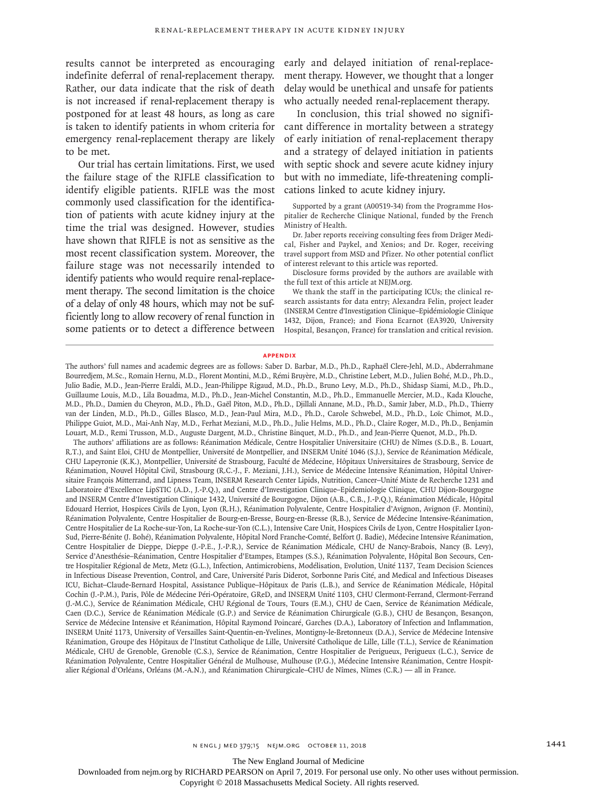indefinite deferral of renal-replacement therapy. Rather, our data indicate that the risk of death is not increased if renal-replacement therapy is postponed for at least 48 hours, as long as care is taken to identify patients in whom criteria for emergency renal-replacement therapy are likely to be met.

Our trial has certain limitations. First, we used the failure stage of the RIFLE classification to identify eligible patients. RIFLE was the most commonly used classification for the identification of patients with acute kidney injury at the time the trial was designed. However, studies have shown that RIFLE is not as sensitive as the most recent classification system. Moreover, the failure stage was not necessarily intended to identify patients who would require renal-replacement therapy. The second limitation is the choice of a delay of only 48 hours, which may not be sufficiently long to allow recovery of renal function in some patients or to detect a difference between

results cannot be interpreted as encouraging early and delayed initiation of renal-replacement therapy. However, we thought that a longer delay would be unethical and unsafe for patients who actually needed renal-replacement therapy.

> In conclusion, this trial showed no significant difference in mortality between a strategy of early initiation of renal-replacement therapy and a strategy of delayed initiation in patients with septic shock and severe acute kidney injury but with no immediate, life-threatening complications linked to acute kidney injury.

> Supported by a grant (A00519-34) from the Programme Hospitalier de Recherche Clinique National, funded by the French Ministry of Health.

> Dr. Jaber reports receiving consulting fees from Dräger Medical, Fisher and Paykel, and Xenios; and Dr. Roger, receiving travel support from MSD and Pfizer. No other potential conflict of interest relevant to this article was reported.

> Disclosure forms provided by the authors are available with the full text of this article at NEJM.org.

> We thank the staff in the participating ICUs; the clinical research assistants for data entry; Alexandra Felin, project leader (INSERM Centre d'Investigation Clinique–Epidémiologie Clinique 1432, Dijon, France); and Fiona Ecarnot (EA3920, University Hospital, Besançon, France) for translation and critical revision.

#### **Appendix**

The authors' full names and academic degrees are as follows: Saber D. Barbar, M.D., Ph.D., Raphaël Clere-Jehl, M.D., Abderrahmane Bourredjem, M.Sc., Romain Hernu, M.D., Florent Montini, M.D., Rémi Bruyère, M.D., Christine Lebert, M.D., Julien Bohé, M.D., Ph.D., Julio Badie, M.D., Jean-Pierre Eraldi, M.D., Jean-Philippe Rigaud, M.D., Ph.D., Bruno Levy, M.D., Ph.D., Shidasp Siami, M.D., Ph.D., Guillaume Louis, M.D., Lila Bouadma, M.D., Ph.D., Jean-Michel Constantin, M.D., Ph.D., Emmanuelle Mercier, M.D., Kada Klouche, M.D., Ph.D., Damien du Cheyron, M.D., Ph.D., Gaël Piton, M.D., Ph.D., Djillali Annane, M.D., Ph.D., Samir Jaber, M.D., Ph.D., Thierry van der Linden, M.D., Ph.D., Gilles Blasco, M.D., Jean-Paul Mira, M.D., Ph.D., Carole Schwebel, M.D., Ph.D., Loïc Chimot, M.D., Philippe Guiot, M.D., Mai-Anh Nay, M.D., Ferhat Meziani, M.D., Ph.D., Julie Helms, M.D., Ph.D., Claire Roger, M.D., Ph.D., Benjamin Louart, M.D., Remi Trusson, M.D., Auguste Dargent, M.D., Christine Binquet, M.D., Ph.D., and Jean-Pierre Quenot, M.D., Ph.D.

The authors' affiliations are as follows: Réanimation Médicale, Centre Hospitalier Universitaire (CHU) de Nîmes (S.D.B., B. Louart, R.T.), and Saint Eloi, CHU de Montpellier, Université de Montpellier, and INSERM Unité 1046 (S.J.), Service de Réanimation Médicale, CHU Lapeyronie (K.K.), Montpellier, Université de Strasbourg, Faculté de Médecine, Hôpitaux Universitaires de Strasbourg, Service de Réanimation, Nouvel Hôpital Civil, Strasbourg (R.C.-J., F. Meziani, J.H.), Service de Médecine Intensive Réanimation, Hôpital Universitaire François Mitterrand, and Lipness Team, INSERM Research Center Lipids, Nutrition, Cancer–Unité Mixte de Recherche 1231 and Laboratoire d'Excellence LipSTIC (A.D., J.-P.Q.), and Centre d'Investigation Clinique–Epidemiologie Clinique, CHU Dijon-Bourgogne and INSERM Centre d'Investigation Clinique 1432, Université de Bourgogne, Dijon (A.B., C.B., J.-P.Q.), Réanimation Médicale, Hôpital Edouard Herriot, Hospices Civils de Lyon, Lyon (R.H.), Réanimation Polyvalente, Centre Hospitalier d'Avignon, Avignon (F. Montini), Réanimation Polyvalente, Centre Hospitalier de Bourg-en-Bresse, Bourg-en-Bresse (R.B.), Service de Médecine Intensive-Réanimation, Centre Hospitalier de La Roche-sur-Yon, La Roche-sur-Yon (C.L.), Intensive Care Unit, Hospices Civils de Lyon, Centre Hospitalier Lyon-Sud, Pierre-Bénite (J. Bohé), Réanimation Polyvalente, Hôpital Nord Franche-Comté, Belfort (J. Badie), Médecine Intensive Réanimation, Centre Hospitalier de Dieppe, Dieppe (J.-P.E., J.-P.R.), Service de Réanimation Médicale, CHU de Nancy-Brabois, Nancy (B. Levy), Service d'Anesthésie–Réanimation, Centre Hospitalier d'Etampes, Etampes (S.S.), Réanimation Polyvalente, Hôpital Bon Secours, Centre Hospitalier Régional de Metz, Metz (G.L.), Infection, Antimicrobiens, Modélisation, Evolution, Unité 1137, Team Decision Sciences in Infectious Disease Prevention, Control, and Care, Université Paris Diderot, Sorbonne Paris Cité, and Medical and Infectious Diseases ICU, Bichat–Claude-Bernard Hospital, Assistance Publique–Hôpitaux de Paris (L.B.), and Service de Réanimation Médicale, Hôpital Cochin (J.-P.M.), Paris, Pôle de Médecine Péri-Opératoire, GReD, and INSERM Unité 1103, CHU Clermont-Ferrand, Clermont-Ferrand (J.-M.C.), Service de Réanimation Médicale, CHU Régional de Tours, Tours (E.M.), CHU de Caen, Service de Réanimation Médicale, Caen (D.C.), Service de Réanimation Médicale (G.P.) and Service de Réanimation Chirurgicale (G.B.), CHU de Besançon, Besançon, Service de Médecine Intensive et Réanimation, Hôpital Raymond Poincaré, Garches (D.A.), Laboratory of Infection and Inflammation, INSERM Unité 1173, University of Versailles Saint-Quentin-en-Yvelines, Montigny-le-Bretonneux (D.A.), Service de Médecine Intensive Réanimation, Groupe des Hôpitaux de l'Institut Catholique de Lille, Université Catholique de Lille, Lille (T.L.), Service de Réanimation Médicale, CHU de Grenoble, Grenoble (C.S.), Service de Réanimation, Centre Hospitalier de Perigueux, Perigueux (L.C.), Service de Réanimation Polyvalente, Centre Hospitalier Général de Mulhouse, Mulhouse (P.G.), Médecine Intensive Réanimation, Centre Hospitalier Régional d'Orléans, Orléans (M.-A.N.), and Réanimation Chirurgicale–CHU de Nîmes, Nîmes (C.R.) — all in France.

The New England Journal of Medicine

Downloaded from nejm.org by RICHARD PEARSON on April 7, 2019. For personal use only. No other uses without permission.